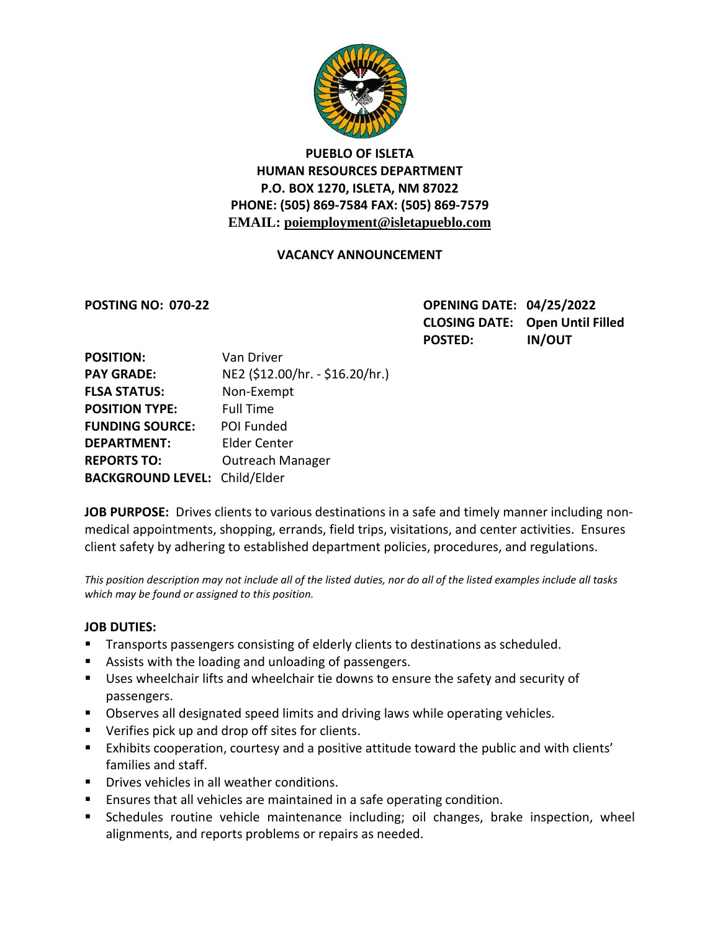

# **PUEBLO OF ISLETA HUMAN RESOURCES DEPARTMENT P.O. BOX 1270, ISLETA, NM 87022 PHONE: (505) 869-7584 FAX: (505) 869-7579 EMAIL: poiemployment@isletapueblo.com**

#### **VACANCY ANNOUNCEMENT**

**POSTING NO: 070-22 OPENING DATE: 04/25/2022 CLOSING DATE: Open Until Filled POSTED: IN/OUT**

| <b>POSITION:</b>                     | Van Driver                      |
|--------------------------------------|---------------------------------|
| <b>PAY GRADE:</b>                    | NE2 (\$12.00/hr. - \$16.20/hr.) |
| <b>FLSA STATUS:</b>                  | Non-Exempt                      |
| <b>POSITION TYPE:</b>                | <b>Full Time</b>                |
| <b>FUNDING SOURCE:</b>               | POI Funded                      |
| <b>DEPARTMENT:</b>                   | <b>Elder Center</b>             |
| <b>REPORTS TO:</b>                   | <b>Outreach Manager</b>         |
| <b>BACKGROUND LEVEL: Child/Elder</b> |                                 |

**JOB PURPOSE:** Drives clients to various destinations in a safe and timely manner including nonmedical appointments, shopping, errands, field trips, visitations, and center activities. Ensures client safety by adhering to established department policies, procedures, and regulations.

*This position description may not include all of the listed duties, nor do all of the listed examples include all tasks which may be found or assigned to this position.*

#### **JOB DUTIES:**

- **Transports passengers consisting of elderly clients to destinations as scheduled.**
- Assists with the loading and unloading of passengers.
- Uses wheelchair lifts and wheelchair tie downs to ensure the safety and security of passengers.
- **Dbserves all designated speed limits and driving laws while operating vehicles.**
- **UP Verifies pick up and drop off sites for clients.**
- Exhibits cooperation, courtesy and a positive attitude toward the public and with clients' families and staff.
- **Drives vehicles in all weather conditions.**
- Ensures that all vehicles are maintained in a safe operating condition.
- Schedules routine vehicle maintenance including; oil changes, brake inspection, wheel alignments, and reports problems or repairs as needed.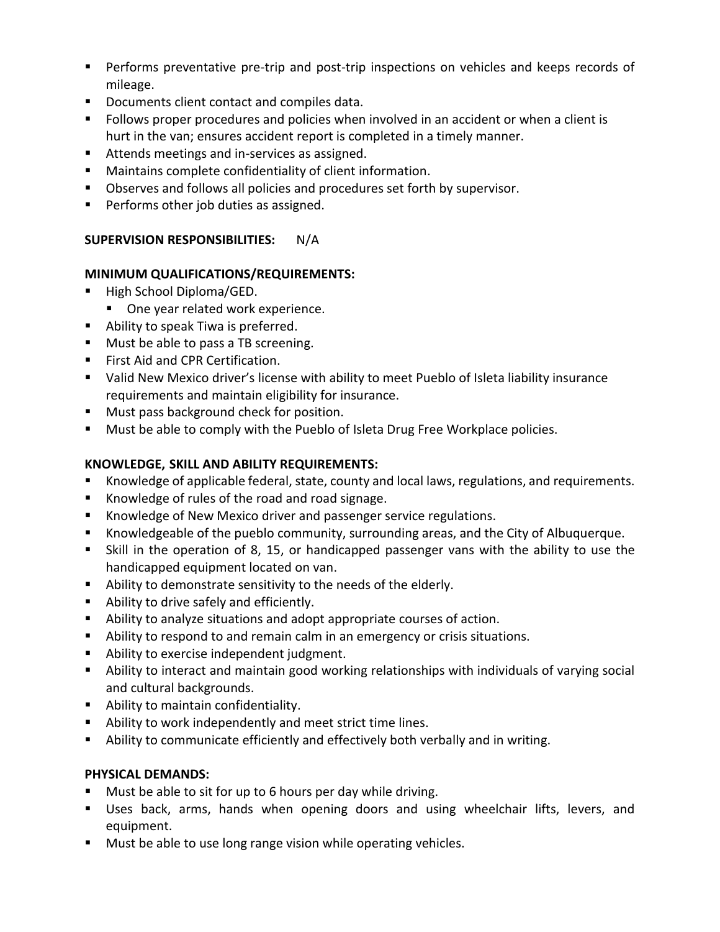- Performs preventative pre-trip and post-trip inspections on vehicles and keeps records of mileage.
- Documents client contact and compiles data.
- Follows proper procedures and policies when involved in an accident or when a client is hurt in the van; ensures accident report is completed in a timely manner.
- Attends meetings and in-services as assigned.
- Maintains complete confidentiality of client information.
- **D**bserves and follows all policies and procedures set forth by supervisor.
- **Performs other job duties as assigned.**

# **SUPERVISION RESPONSIBILITIES:** N/A

# **MINIMUM QUALIFICATIONS/REQUIREMENTS:**

- High School Diploma/GED.
	- **Diamage 1 Diama Preader 1 Preader** Preader.
- Ability to speak Tiwa is preferred.
- **Must be able to pass a TB screening.**
- **First Aid and CPR Certification.**
- Valid New Mexico driver's license with ability to meet Pueblo of Isleta liability insurance requirements and maintain eligibility for insurance.
- **Must pass background check for position.**
- **Must be able to comply with the Pueblo of Isleta Drug Free Workplace policies.**

# **KNOWLEDGE, SKILL AND ABILITY REQUIREMENTS:**

- Knowledge of applicable federal, state, county and local laws, regulations, and requirements.
- Knowledge of rules of the road and road signage.
- **Knowledge of New Mexico driver and passenger service regulations.**
- Knowledgeable of the pueblo community, surrounding areas, and the City of Albuquerque.
- Skill in the operation of 8, 15, or handicapped passenger vans with the ability to use the handicapped equipment located on van.
- Ability to demonstrate sensitivity to the needs of the elderly.
- Ability to drive safely and efficiently.
- Ability to analyze situations and adopt appropriate courses of action.
- Ability to respond to and remain calm in an emergency or crisis situations.
- **Ability to exercise independent judgment.**
- Ability to interact and maintain good working relationships with individuals of varying social and cultural backgrounds.
- **Ability to maintain confidentiality.**
- Ability to work independently and meet strict time lines.
- Ability to communicate efficiently and effectively both verbally and in writing.

# **PHYSICAL DEMANDS:**

- **Must be able to sit for up to 6 hours per day while driving.**
- Uses back, arms, hands when opening doors and using wheelchair lifts, levers, and equipment.
- **Must be able to use long range vision while operating vehicles.**